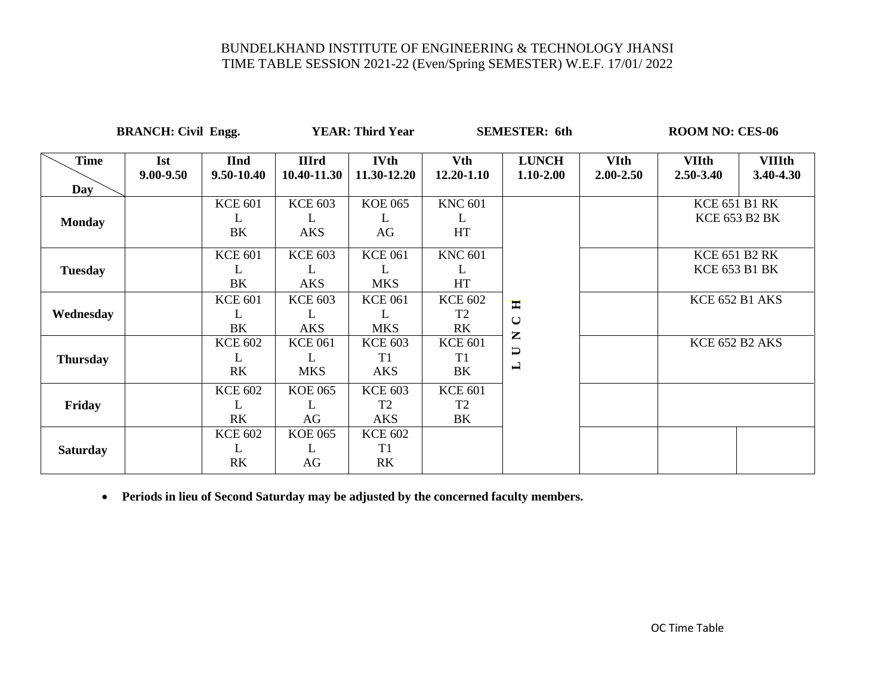**BRANCH: Civil Engg. YEAR: Third Year SEMESTER: 6th ROOM NO: CES-06** 

| <b>Time</b>     | <b>Ist</b>    | <b>IInd</b>    | <b>IIIrd</b>   | <b>IVth</b>    | <b>Vth</b>     | <b>LUNCH</b>            | <b>VIth</b>   | <b>VIIth</b>          | <b>VIIIth</b>        |
|-----------------|---------------|----------------|----------------|----------------|----------------|-------------------------|---------------|-----------------------|----------------------|
|                 | $9.00 - 9.50$ | 9.50-10.40     | 10.40-11.30    | 11.30-12.20    | $12.20 - 1.10$ | $1.10 - 2.00$           | $2.00 - 2.50$ | $2.50 - 3.40$         | 3.40-4.30            |
| Day             |               |                |                |                |                |                         |               |                       |                      |
|                 |               | <b>KCE 601</b> | <b>KCE 603</b> | <b>KOE 065</b> | <b>KNC 601</b> |                         |               | <b>KCE 651 B1 RK</b>  |                      |
| <b>Monday</b>   |               | L              | L              | L              | L              |                         |               |                       | <b>KCE 653 B2 BK</b> |
|                 |               | BK             | <b>AKS</b>     | AG             | HT             |                         |               |                       |                      |
|                 |               | <b>KCE 601</b> | <b>KCE 603</b> | <b>KCE 061</b> | <b>KNC 601</b> |                         |               | <b>KCE 651 B2 RK</b>  |                      |
| <b>Tuesday</b>  |               | L              | L              | L              | L              |                         |               | <b>KCE 653 B1 BK</b>  |                      |
|                 |               | BK             | <b>AKS</b>     | <b>MKS</b>     | HT             |                         |               |                       |                      |
|                 |               | <b>KCE 601</b> | <b>KCE 603</b> | <b>KCE 061</b> | <b>KCE 602</b> | Ħ                       |               | <b>KCE 652 B1 AKS</b> |                      |
| Wednesday       |               | L              | L              | L              | T <sub>2</sub> | $\cup$                  |               |                       |                      |
|                 |               | BK             | <b>AKS</b>     | <b>MKS</b>     | RK             | $\mathbf{Z}$            |               |                       |                      |
|                 |               | <b>KCE 602</b> | <b>KCE 061</b> | <b>KCE 603</b> | <b>KCE 601</b> | $\overline{\mathsf{U}}$ |               | KCE 652 B2 AKS        |                      |
| <b>Thursday</b> |               | L              | L              | T1             | T1             | L                       |               |                       |                      |
|                 |               | RK             | <b>MKS</b>     | <b>AKS</b>     | BK             |                         |               |                       |                      |
|                 |               | <b>KCE 602</b> | <b>KOE 065</b> | <b>KCE 603</b> | <b>KCE 601</b> |                         |               |                       |                      |
| Friday          |               | L              | L              | T <sub>2</sub> | T <sub>2</sub> |                         |               |                       |                      |
|                 |               | <b>RK</b>      | AG             | <b>AKS</b>     | BK             |                         |               |                       |                      |
|                 |               | <b>KCE 602</b> | <b>KOE 065</b> | <b>KCE 602</b> |                |                         |               |                       |                      |
| <b>Saturday</b> |               | L              | L              | T <sub>1</sub> |                |                         |               |                       |                      |
|                 |               | <b>RK</b>      | AG             | <b>RK</b>      |                |                         |               |                       |                      |
|                 |               |                |                |                |                |                         |               |                       |                      |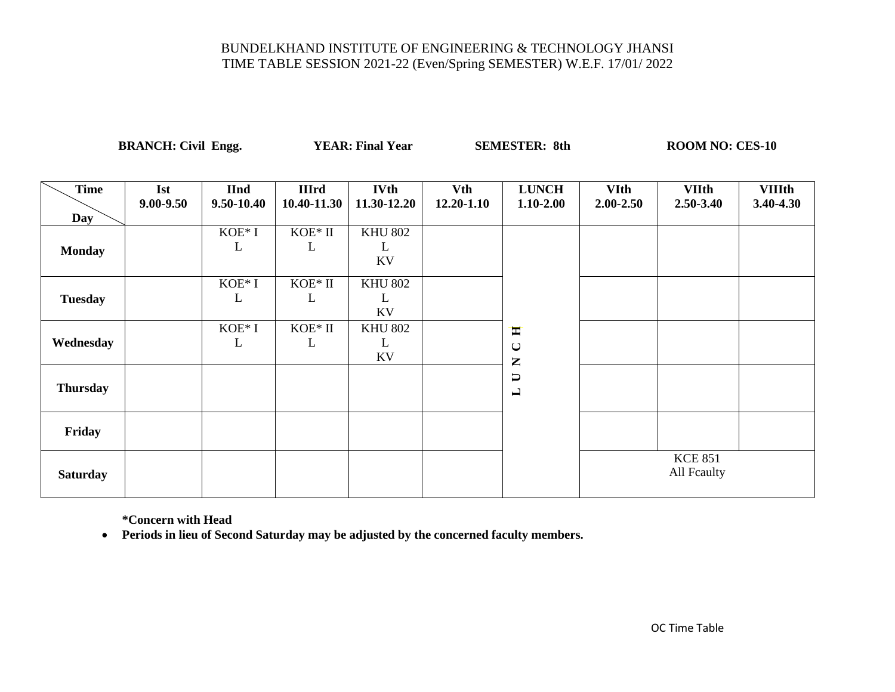**BRANCH: Civil Engg. YEAR: Final Year SEMESTER: 8th ROOM NO: CES-10** 

|                    |                         | ັ                         |                             |                            |                              |                                                  |                              |                               |                            |
|--------------------|-------------------------|---------------------------|-----------------------------|----------------------------|------------------------------|--------------------------------------------------|------------------------------|-------------------------------|----------------------------|
| <b>Time</b><br>Day | <b>Ist</b><br>9.00-9.50 | <b>IInd</b><br>9.50-10.40 | <b>IIIrd</b><br>10.40-11.30 | <b>IVth</b><br>11.30-12.20 | <b>Vth</b><br>$12.20 - 1.10$ | <b>LUNCH</b><br>1.10-2.00                        | <b>VIth</b><br>$2.00 - 2.50$ | <b>VIIth</b><br>$2.50 - 3.40$ | <b>VIIIth</b><br>3.40-4.30 |
| <b>Monday</b>      |                         | KOE* I<br>L               | KOE* II<br>L                | <b>KHU 802</b><br>L<br>KV  |                              |                                                  |                              |                               |                            |
| <b>Tuesday</b>     |                         | $KOE*I$<br>L              | $\rm KOE^*$ II<br>L         | <b>KHU 802</b><br>L<br>KV  |                              |                                                  |                              |                               |                            |
| Wednesday          |                         | KOE* I<br>L               | $KOE*$ II<br>L              | <b>KHU 802</b><br>L<br>KV  |                              | Ħ<br>$\mathbf{\mathsf{C}}$<br>$\mathbf{Z}% _{0}$ |                              |                               |                            |
| <b>Thursday</b>    |                         |                           |                             |                            |                              | $\Box$<br>$\blacksquare$                         |                              |                               |                            |
| Friday             |                         |                           |                             |                            |                              |                                                  |                              |                               |                            |
| <b>Saturday</b>    |                         |                           |                             |                            |                              |                                                  |                              | <b>KCE 851</b><br>All Fcaulty |                            |

**\*Concern with Head**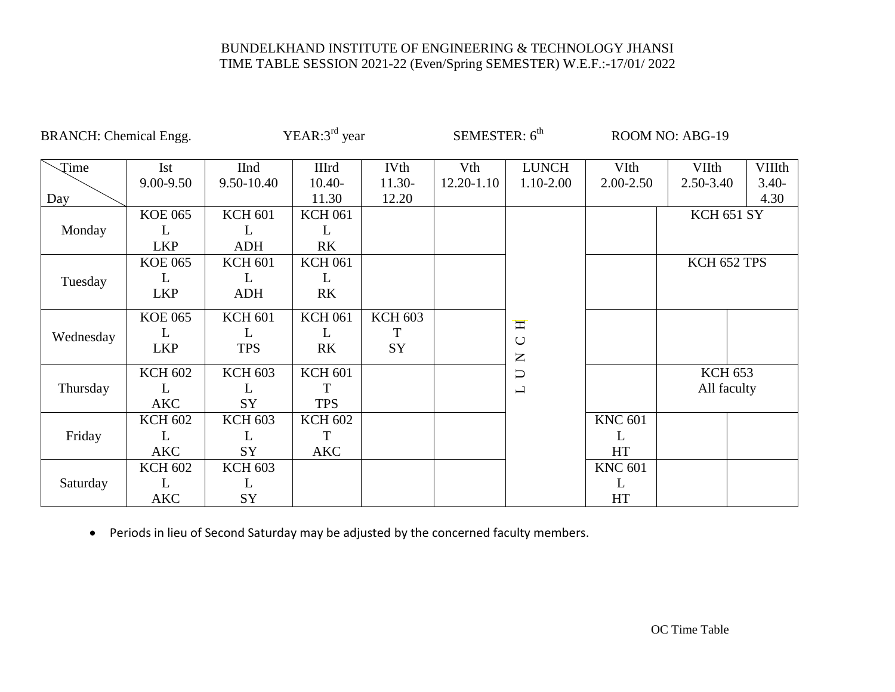| <b>BRANCH:</b> Chemical Engg. |                |                | YEAR: $3rd$ year |                | SEMESTER: 6 <sup>th</sup> |                          |                | ROOM NO: ABG-19   |          |
|-------------------------------|----------------|----------------|------------------|----------------|---------------------------|--------------------------|----------------|-------------------|----------|
| Time                          | <b>Ist</b>     | <b>IInd</b>    | <b>IIIrd</b>     | IVth           | Vth                       | <b>LUNCH</b>             | VIth           | <b>VIIth</b>      | VIIIth   |
|                               | 9.00-9.50      | 9.50-10.40     | $10.40-$         | $11.30-$       | $12.20 - 1.10$            | 1.10-2.00                | 2.00-2.50      | 2.50-3.40         | $3.40 -$ |
| Day                           |                |                | 11.30            | 12.20          |                           |                          |                |                   | 4.30     |
|                               | <b>KOE 065</b> | <b>KCH 601</b> | <b>KCH 061</b>   |                |                           |                          |                | <b>KCH 651 SY</b> |          |
| Monday                        | L              | L              | L                |                |                           |                          |                |                   |          |
|                               | <b>LKP</b>     | <b>ADH</b>     | R <sub>K</sub>   |                |                           |                          |                |                   |          |
|                               | <b>KOE 065</b> | <b>KCH 601</b> | <b>KCH 061</b>   |                |                           |                          |                | KCH 652 TPS       |          |
| Tuesday                       | L              | L              | L                |                |                           |                          |                |                   |          |
|                               | <b>LKP</b>     | <b>ADH</b>     | R <sub>K</sub>   |                |                           |                          |                |                   |          |
|                               | <b>KOE 065</b> | <b>KCH 601</b> | <b>KCH 061</b>   | <b>KCH 603</b> |                           | H                        |                |                   |          |
| Wednesday                     | L              | L              | L                | T              |                           | $\cup$                   |                |                   |          |
|                               | <b>LKP</b>     | <b>TPS</b>     | R <sub>K</sub>   | SY             |                           | $\mathsf{\Sigma}$        |                |                   |          |
|                               | <b>KCH 602</b> | <b>KCH 603</b> | <b>KCH 601</b>   |                |                           | $\cup$                   |                | <b>KCH 653</b>    |          |
| Thursday                      | L              | L              | T                |                |                           | $\overline{\phantom{0}}$ |                | All faculty       |          |
|                               | <b>AKC</b>     | SY             | <b>TPS</b>       |                |                           |                          |                |                   |          |
|                               | <b>KCH 602</b> | <b>KCH 603</b> | <b>KCH 602</b>   |                |                           |                          | <b>KNC 601</b> |                   |          |
| Friday                        | L              | L              | T                |                |                           |                          | L              |                   |          |
|                               | <b>AKC</b>     | SY             | <b>AKC</b>       |                |                           |                          | <b>HT</b>      |                   |          |
|                               | <b>KCH 602</b> | <b>KCH 603</b> |                  |                |                           |                          | <b>KNC 601</b> |                   |          |
| Saturday                      | L              | L              |                  |                |                           |                          | L              |                   |          |
|                               | <b>AKC</b>     | SY             |                  |                |                           |                          | HT             |                   |          |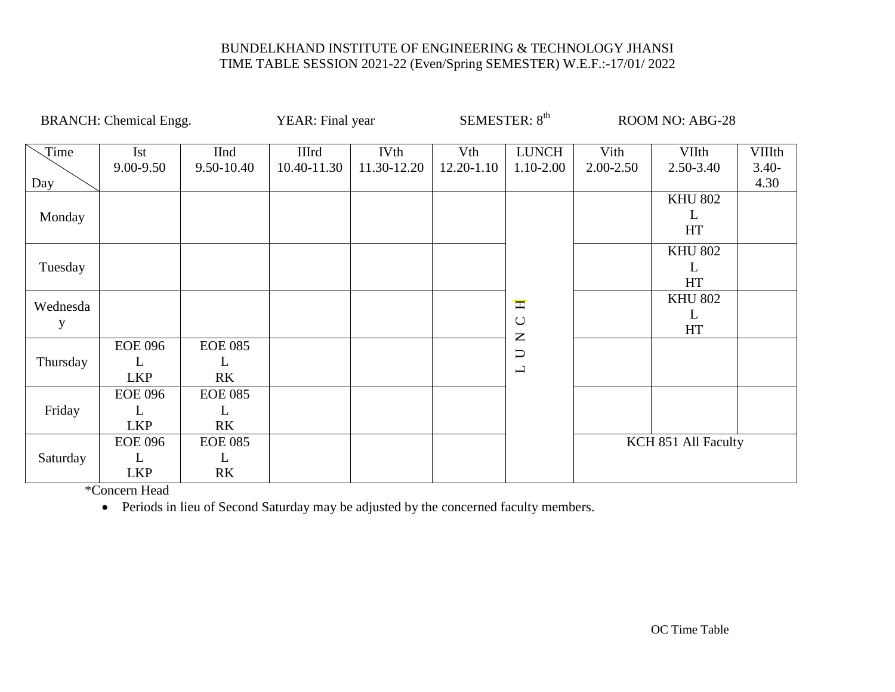|               | <b>BRANCH:</b> Chemical Engg.     |                                       | YEAR: Final year     |                            |                   | SEMESTER: 8 <sup>th</sup>                                                                               |                   | <b>ROOM NO: ABG-28</b>    |                                   |
|---------------|-----------------------------------|---------------------------------------|----------------------|----------------------------|-------------------|---------------------------------------------------------------------------------------------------------|-------------------|---------------------------|-----------------------------------|
| Time<br>Day   | Ist<br>9.00-9.50                  | IInd<br>9.50-10.40                    | IIIrd<br>10.40-11.30 | <b>IVth</b><br>11.30-12.20 | Vth<br>12.20-1.10 | <b>LUNCH</b><br>1.10-2.00                                                                               | Vith<br>2.00-2.50 | VIIth<br>2.50-3.40        | <b>VIIIth</b><br>$3.40 -$<br>4.30 |
| Monday        |                                   |                                       |                      |                            |                   |                                                                                                         |                   | <b>KHU 802</b><br>L<br>HT |                                   |
| Tuesday       |                                   |                                       |                      |                            |                   |                                                                                                         |                   | <b>KHU 802</b><br>L<br>HT |                                   |
| Wednesda<br>y |                                   |                                       |                      |                            |                   | H<br>$\bigcup$<br>$\mathsf{Z}% _{T}=\mathsf{Z}_{T}\!\left( a,b\right) ,\ \mathsf{Z}_{T}=\mathsf{Z}_{T}$ |                   | <b>KHU 802</b><br>L<br>HT |                                   |
| Thursday      | <b>EOE 096</b><br>L<br><b>LKP</b> | <b>EOE 085</b><br>L<br>RK             |                      |                            |                   | $\Box$<br>$\mathbf{\underline{\mathsf{L}}}$                                                             |                   |                           |                                   |
| Friday        | <b>EOE 096</b><br>L<br><b>LKP</b> | <b>EOE 085</b><br>L<br>R <sub>K</sub> |                      |                            |                   |                                                                                                         |                   |                           |                                   |
| Saturday      | <b>EOE 096</b><br>L<br><b>LKP</b> | <b>EOE 085</b><br>L<br>R <sub>K</sub> |                      |                            |                   |                                                                                                         |                   | KCH 851 All Faculty       |                                   |

\*Concern Head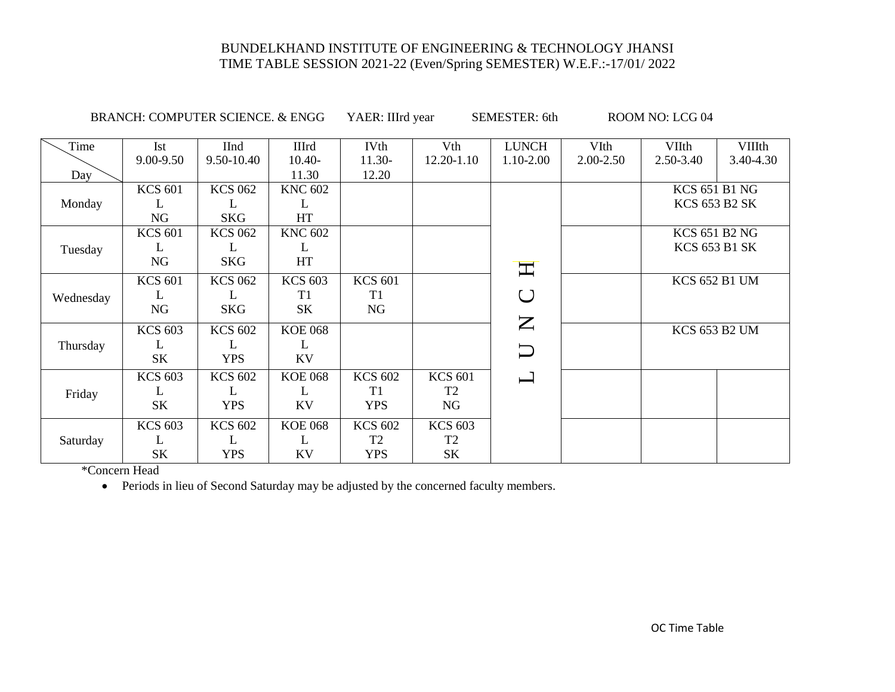BRANCH: COMPUTER SCIENCE. & ENGG YAER: IIIrd year SEMESTER: 6th ROOM NO: LCG 04

| Time      | <b>Ist</b>     | <b>IInd</b>    | <b>IIIrd</b>   | <b>IVth</b>    | Vth            | <b>LUNCH</b>                                                                                  | VIth      | VIIth                | <b>VIIIth</b>        |
|-----------|----------------|----------------|----------------|----------------|----------------|-----------------------------------------------------------------------------------------------|-----------|----------------------|----------------------|
|           | 9.00-9.50      | 9.50-10.40     | $10.40-$       | $11.30-$       | 12.20-1.10     | 1.10-2.00                                                                                     | 2.00-2.50 | 2.50-3.40            | 3.40-4.30            |
| Day       |                |                | 11.30          | 12.20          |                |                                                                                               |           |                      |                      |
|           | <b>KCS 601</b> | <b>KCS 062</b> | <b>KNC 602</b> |                |                |                                                                                               |           | <b>KCS 651 B1 NG</b> |                      |
| Monday    | L              | L              | L              |                |                |                                                                                               |           |                      | <b>KCS 653 B2 SK</b> |
|           | <b>NG</b>      | <b>SKG</b>     | <b>HT</b>      |                |                |                                                                                               |           |                      |                      |
|           | <b>KCS 601</b> | <b>KCS 062</b> | <b>KNC 602</b> |                |                |                                                                                               |           | <b>KCS 651 B2 NG</b> |                      |
| Tuesday   | L              | L              | L              |                |                |                                                                                               |           |                      | <b>KCS 653 B1 SK</b> |
|           | NG             | <b>SKG</b>     | <b>HT</b>      |                |                | $\mathbf{\Pi}$                                                                                |           |                      |                      |
|           | <b>KCS 601</b> | <b>KCS 062</b> | <b>KCS 603</b> | <b>KCS 601</b> |                |                                                                                               |           |                      | <b>KCS 652 B1 UM</b> |
| Wednesday | L              | L              | T <sub>1</sub> | T1             |                | $\bigcup$                                                                                     |           |                      |                      |
|           | NG             | <b>SKG</b>     | SK             | <b>NG</b>      |                |                                                                                               |           |                      |                      |
|           | <b>KCS 603</b> | <b>KCS 602</b> | <b>KOE 068</b> |                |                | $\mathsf{Z}% _{0}\!\left( \mathcal{M}\right) \equiv\mathsf{Z}_{0}\!\left( \mathcal{M}\right)$ |           | <b>KCS 653 B2 UM</b> |                      |
| Thursday  | L              | L              | L              |                |                |                                                                                               |           |                      |                      |
|           | <b>SK</b>      | <b>YPS</b>     | <b>KV</b>      |                |                | $\Box$                                                                                        |           |                      |                      |
|           | <b>KCS 603</b> | <b>KCS 602</b> | <b>KOE 068</b> | <b>KCS 602</b> | <b>KCS 601</b> | $\overline{\phantom{0}}$                                                                      |           |                      |                      |
| Friday    | L              | L              | L              | T1             | T <sub>2</sub> |                                                                                               |           |                      |                      |
|           | <b>SK</b>      | <b>YPS</b>     | <b>KV</b>      | <b>YPS</b>     | NG             |                                                                                               |           |                      |                      |
|           | <b>KCS 603</b> | <b>KCS 602</b> | <b>KOE 068</b> | <b>KCS 602</b> | <b>KCS 603</b> |                                                                                               |           |                      |                      |
| Saturday  | L              | L              | L              | T <sub>2</sub> | T <sub>2</sub> |                                                                                               |           |                      |                      |
|           | <b>SK</b>      | <b>YPS</b>     | <b>KV</b>      | <b>YPS</b>     | <b>SK</b>      |                                                                                               |           |                      |                      |

\*Concern Head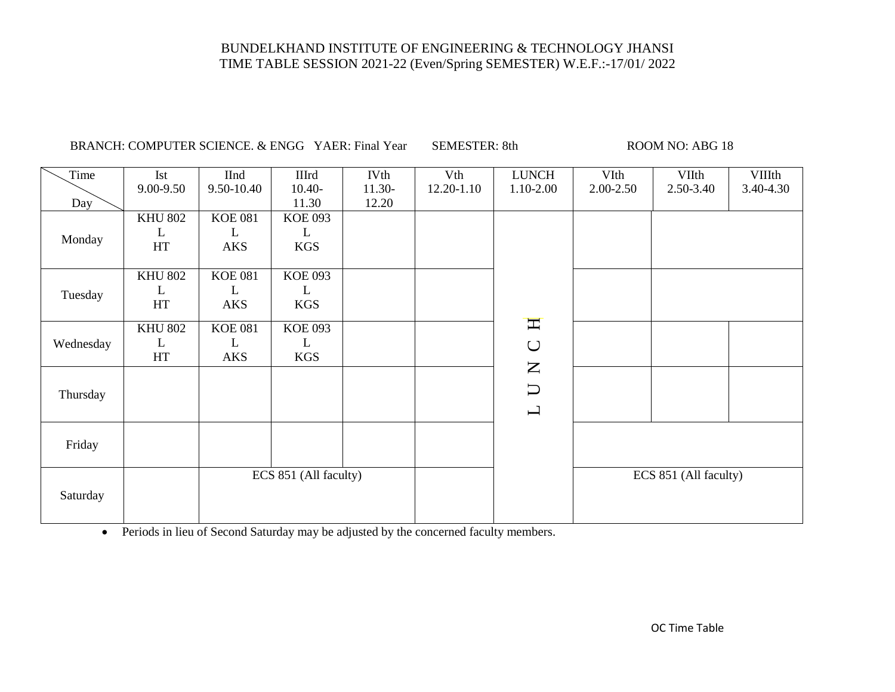| Time      | Ist            | <b>IInd</b>    | <b>IIIrd</b>          | <b>IVth</b> | Vth        | <b>LUNCH</b>                      | VIth      | <b>VIIth</b>          | VIIIth    |
|-----------|----------------|----------------|-----------------------|-------------|------------|-----------------------------------|-----------|-----------------------|-----------|
|           | 9.00-9.50      | 9.50-10.40     | $10.40-$              | $11.30-$    | 12.20-1.10 | 1.10-2.00                         | 2.00-2.50 | 2.50-3.40             | 3.40-4.30 |
| Day       |                |                | 11.30                 | 12.20       |            |                                   |           |                       |           |
|           | <b>KHU 802</b> | <b>KOE 081</b> | <b>KOE 093</b>        |             |            |                                   |           |                       |           |
| Monday    | L              | L              | $\mathbf{L}$          |             |            |                                   |           |                       |           |
|           | $\rm HT$       | AKS            | <b>KGS</b>            |             |            |                                   |           |                       |           |
|           |                |                |                       |             |            |                                   |           |                       |           |
|           | <b>KHU 802</b> | <b>KOE 081</b> | <b>KOE 093</b>        |             |            |                                   |           |                       |           |
| Tuesday   | L              | L              | L                     |             |            |                                   |           |                       |           |
|           | HT             | <b>AKS</b>     | <b>KGS</b>            |             |            |                                   |           |                       |           |
|           | <b>KHU 802</b> | <b>KOE 081</b> | <b>KOE 093</b>        |             |            | $\mathbf{\overline{H}}$           |           |                       |           |
| Wednesday | L              | L              | $\mathbf{L}$          |             |            |                                   |           |                       |           |
|           | HT             | <b>AKS</b>     | <b>KGS</b>            |             |            | $\cup$                            |           |                       |           |
|           |                |                |                       |             |            | $\mathsf{Z}$                      |           |                       |           |
|           |                |                |                       |             |            | $\cup$                            |           |                       |           |
| Thursday  |                |                |                       |             |            |                                   |           |                       |           |
|           |                |                |                       |             |            | $\mathbf{\underline{\mathsf{L}}}$ |           |                       |           |
|           |                |                |                       |             |            |                                   |           |                       |           |
| Friday    |                |                |                       |             |            |                                   |           |                       |           |
|           |                |                |                       |             |            |                                   |           |                       |           |
|           |                |                | ECS 851 (All faculty) |             |            |                                   |           | ECS 851 (All faculty) |           |
|           |                |                |                       |             |            |                                   |           |                       |           |
| Saturday  |                |                |                       |             |            |                                   |           |                       |           |
|           |                |                |                       |             |            |                                   |           |                       |           |

BRANCH: COMPUTER SCIENCE. & ENGG YAER: Final Year SEMESTER: 8th ROOM NO: ABG 18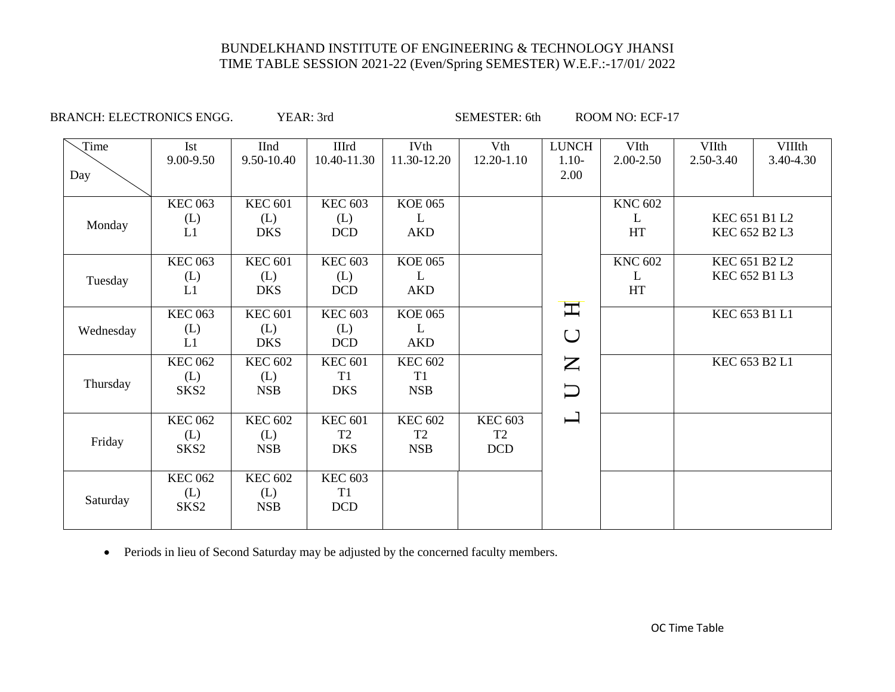BRANCH: ELECTRONICS ENGG. YEAR: 3rd SEMESTER: 6th ROOM NO: ECF-17

| Time      | Ist              | <b>IInd</b>       | <b>IIIrd</b>      | <b>IVth</b>     | Vth            | <b>LUNCH</b>       | VIth           | VIIth         | <b>VIIIth</b> |
|-----------|------------------|-------------------|-------------------|-----------------|----------------|--------------------|----------------|---------------|---------------|
|           | 9.00-9.50        | 9.50-10.40        | 10.40-11.30       | 11.30-12.20     | 12.20-1.10     | $1.10-$            | $2.00 - 2.50$  | 2.50-3.40     | 3.40-4.30     |
| Day       |                  |                   |                   |                 |                | 2.00               |                |               |               |
|           |                  |                   |                   |                 |                |                    |                |               |               |
|           | <b>KEC 063</b>   | <b>KEC 601</b>    | <b>KEC 603</b>    | <b>KOE 065</b>  |                |                    | <b>KNC 602</b> |               |               |
| Monday    | (L)              | (L)               | (L)               | L               |                |                    | L              |               | KEC 651 B1 L2 |
|           | L1               | <b>DKS</b>        | <b>DCD</b>        | <b>AKD</b>      |                |                    | HT             |               | KEC 652 B2 L3 |
|           |                  |                   |                   |                 |                |                    |                |               |               |
|           | <b>KEC 063</b>   | <b>KEC 601</b>    | <b>KEC 603</b>    | <b>KOE 065</b>  |                |                    | <b>KNC 602</b> |               | KEC 651 B2 L2 |
| Tuesday   | (L)              | (L)               | (L)               | L               |                |                    | L              |               | KEC 652 B1 L3 |
|           | L1               | <b>DKS</b>        | <b>DCD</b>        | <b>AKD</b>      |                |                    | <b>HT</b>      |               |               |
|           | <b>KEC 063</b>   | <b>KEC 601</b>    | <b>KEC 603</b>    | <b>KOE 065</b>  |                | $\mathbf{\Pi}$     |                | KEC 653 B1 L1 |               |
|           |                  |                   |                   |                 |                |                    |                |               |               |
| Wednesday | (L)<br>L1        | (L)<br><b>DKS</b> | (L)<br><b>DCD</b> | L<br><b>AKD</b> |                | $\bigcup$          |                |               |               |
|           |                  |                   |                   |                 |                |                    |                |               |               |
|           | <b>KEC 062</b>   | <b>KEC 602</b>    | <b>KEC 601</b>    | <b>KEC 602</b>  |                | $\mathsf{Z}$       |                | KEC 653 B2 L1 |               |
| Thursday  | (L)              | (L)               | T1                | T <sub>1</sub>  |                |                    |                |               |               |
|           | SKS <sub>2</sub> | <b>NSB</b>        | <b>DKS</b>        | <b>NSB</b>      |                | $\Box$             |                |               |               |
|           |                  |                   |                   |                 |                |                    |                |               |               |
|           | <b>KEC 062</b>   | <b>KEC 602</b>    | <b>KEC 601</b>    | <b>KEC 602</b>  | <b>KEC 603</b> | $\mathord{\sqcup}$ |                |               |               |
| Friday    | (L)              | (L)               | T <sub>2</sub>    | T <sub>2</sub>  | T2             |                    |                |               |               |
|           | SKS <sub>2</sub> | <b>NSB</b>        | <b>DKS</b>        | <b>NSB</b>      | <b>DCD</b>     |                    |                |               |               |
|           |                  |                   |                   |                 |                |                    |                |               |               |
|           | <b>KEC 062</b>   | <b>KEC 602</b>    | <b>KEC 603</b>    |                 |                |                    |                |               |               |
| Saturday  | (L)              | (L)               | T1                |                 |                |                    |                |               |               |
|           | SKS <sub>2</sub> | <b>NSB</b>        | <b>DCD</b>        |                 |                |                    |                |               |               |
|           |                  |                   |                   |                 |                |                    |                |               |               |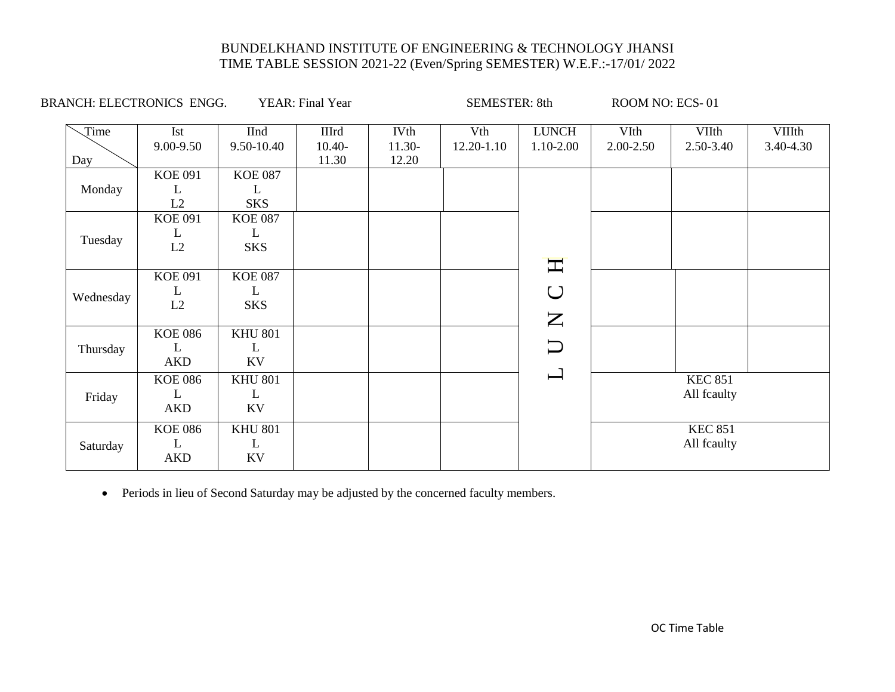| Ist<br>9.00-9.50 | <b>IInd</b><br>9.50-10.40                                                          | <b>IIIrd</b><br>$10.40-$                                                                                        | <b>IVth</b><br>11.30- | Vth<br>12.20-1.10 | <b>LUNCH</b><br>1.10-2.00 | VIth<br>2.00-2.50                                                                                             | VIIth<br>2.50-3.40 | <b>VIIIth</b><br>3.40-4.30                       |
|------------------|------------------------------------------------------------------------------------|-----------------------------------------------------------------------------------------------------------------|-----------------------|-------------------|---------------------------|---------------------------------------------------------------------------------------------------------------|--------------------|--------------------------------------------------|
|                  |                                                                                    | 11.30                                                                                                           | 12.20                 |                   |                           |                                                                                                               |                    |                                                  |
| <b>KOE 091</b>   | <b>KOE 087</b>                                                                     |                                                                                                                 |                       |                   |                           |                                                                                                               |                    |                                                  |
| L                | L                                                                                  |                                                                                                                 |                       |                   |                           |                                                                                                               |                    |                                                  |
| L2               | <b>SKS</b>                                                                         |                                                                                                                 |                       |                   |                           |                                                                                                               |                    |                                                  |
| <b>KOE 091</b>   | <b>KOE 087</b>                                                                     |                                                                                                                 |                       |                   |                           |                                                                                                               |                    |                                                  |
| L                | L                                                                                  |                                                                                                                 |                       |                   |                           |                                                                                                               |                    |                                                  |
| L2               | <b>SKS</b>                                                                         |                                                                                                                 |                       |                   |                           |                                                                                                               |                    |                                                  |
|                  |                                                                                    |                                                                                                                 |                       |                   |                           |                                                                                                               |                    |                                                  |
|                  |                                                                                    |                                                                                                                 |                       |                   |                           |                                                                                                               |                    |                                                  |
| L                | L                                                                                  |                                                                                                                 |                       |                   | $\bigcup$                 |                                                                                                               |                    |                                                  |
|                  |                                                                                    |                                                                                                                 |                       |                   |                           |                                                                                                               |                    |                                                  |
|                  |                                                                                    |                                                                                                                 |                       |                   |                           |                                                                                                               |                    |                                                  |
|                  |                                                                                    |                                                                                                                 |                       |                   |                           |                                                                                                               |                    |                                                  |
| L                | L                                                                                  |                                                                                                                 |                       |                   |                           |                                                                                                               |                    |                                                  |
|                  |                                                                                    |                                                                                                                 |                       |                   |                           |                                                                                                               |                    |                                                  |
| <b>KOE 086</b>   | <b>KHU 801</b>                                                                     |                                                                                                                 |                       |                   |                           |                                                                                                               | <b>KEC 851</b>     |                                                  |
| L                | L                                                                                  |                                                                                                                 |                       |                   |                           |                                                                                                               | All fcaulty        |                                                  |
| AKD              | KV                                                                                 |                                                                                                                 |                       |                   |                           |                                                                                                               |                    |                                                  |
|                  |                                                                                    |                                                                                                                 |                       |                   |                           |                                                                                                               |                    |                                                  |
|                  |                                                                                    |                                                                                                                 |                       |                   |                           |                                                                                                               |                    |                                                  |
|                  | KV                                                                                 |                                                                                                                 |                       |                   |                           |                                                                                                               |                    |                                                  |
|                  | <b>KOE 091</b><br>L2<br><b>KOE 086</b><br>AKD<br><b>KOE 086</b><br>L<br><b>AKD</b> | <b>BRANCH: ELECTRONICS ENGG.</b><br><b>KOE 087</b><br><b>SKS</b><br><b>KHU 801</b><br>KV<br><b>KHU 801</b><br>L | YEAR: Final Year      |                   |                           | <b>SEMESTER: 8th</b><br>$\bm{\mathrm{H}}$<br>$\mathbf{Z}$<br>$\overline{\bigcup}$<br>$\overline{\phantom{0}}$ |                    | ROOM NO: ECS-01<br><b>KEC 851</b><br>All fcaulty |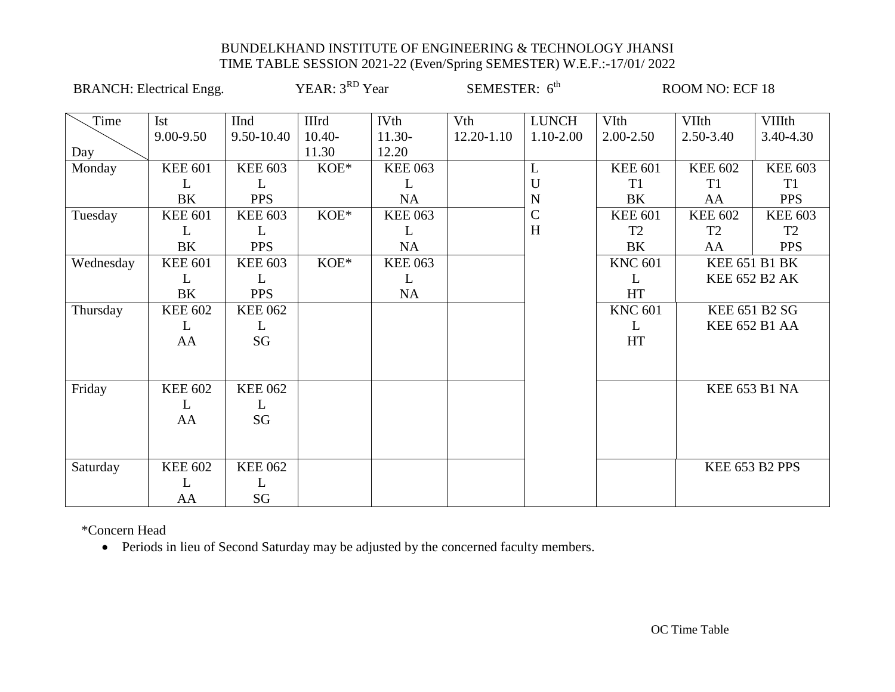|           | <b>BRANCH:</b> Electrical Engg. |                | YEAR: 3 <sup>RD</sup> Year |                | SEMESTER: 6 <sup>th</sup> |              |                | ROOM NO: ECF 18 |                       |
|-----------|---------------------------------|----------------|----------------------------|----------------|---------------------------|--------------|----------------|-----------------|-----------------------|
| Time      | <b>Ist</b>                      | <b>IInd</b>    | <b>IIIrd</b>               | <b>IVth</b>    | Vth                       | <b>LUNCH</b> | VIth           | <b>VIIth</b>    | <b>VIIIth</b>         |
|           | 9.00-9.50                       | 9.50-10.40     | $10.40-$                   | 11.30-         | 12.20-1.10                | 1.10-2.00    | 2.00-2.50      | 2.50-3.40       | 3.40-4.30             |
| Day       |                                 |                | 11.30                      | 12.20          |                           |              |                |                 |                       |
| Monday    | <b>KEE 601</b>                  | <b>KEE 603</b> | KOE*                       | <b>KEE 063</b> |                           | L            | <b>KEE 601</b> | <b>KEE 602</b>  | <b>KEE 603</b>        |
|           | L                               | L              |                            | L              |                           | U            | T <sub>1</sub> | T <sub>1</sub>  | T <sub>1</sub>        |
|           | BK                              | <b>PPS</b>     |                            | <b>NA</b>      |                           | $\mathbf N$  | BK             | AA              | <b>PPS</b>            |
| Tuesday   | <b>KEE 601</b>                  | <b>KEE 603</b> | KOE*                       | <b>KEE 063</b> |                           | $\mathsf{C}$ | <b>KEE 601</b> | <b>KEE 602</b>  | <b>KEE 603</b>        |
|           | L                               | L              |                            | L              |                           | H            | T <sub>2</sub> | T <sub>2</sub>  | T2                    |
|           | BK                              | <b>PPS</b>     |                            | <b>NA</b>      |                           |              | <b>BK</b>      | AA              | <b>PPS</b>            |
| Wednesday | <b>KEE 601</b>                  | <b>KEE 603</b> | KOE*                       | <b>KEE 063</b> |                           |              | <b>KNC 601</b> |                 | <b>KEE 651 B1 BK</b>  |
|           | L                               | L              |                            | L              |                           |              | L              |                 | <b>KEE 652 B2 AK</b>  |
|           | BK                              | <b>PPS</b>     |                            | <b>NA</b>      |                           |              | HT             |                 |                       |
| Thursday  | <b>KEE 602</b>                  | <b>KEE 062</b> |                            |                |                           |              | <b>KNC 601</b> |                 | <b>KEE 651 B2 SG</b>  |
|           | L                               | L              |                            |                |                           |              | L              |                 | <b>KEE 652 B1 AA</b>  |
|           | AA                              | SG             |                            |                |                           |              | HT             |                 |                       |
|           |                                 |                |                            |                |                           |              |                |                 |                       |
| Friday    | <b>KEE 602</b>                  | <b>KEE 062</b> |                            |                |                           |              |                |                 | <b>KEE 653 B1 NA</b>  |
|           | L                               | L              |                            |                |                           |              |                |                 |                       |
|           | AA                              | SG             |                            |                |                           |              |                |                 |                       |
|           |                                 |                |                            |                |                           |              |                |                 |                       |
|           |                                 |                |                            |                |                           |              |                |                 |                       |
| Saturday  | <b>KEE 602</b>                  | <b>KEE 062</b> |                            |                |                           |              |                |                 | <b>KEE 653 B2 PPS</b> |
|           | L                               | L              |                            |                |                           |              |                |                 |                       |
|           | AA                              | SG             |                            |                |                           |              |                |                 |                       |

\*Concern Head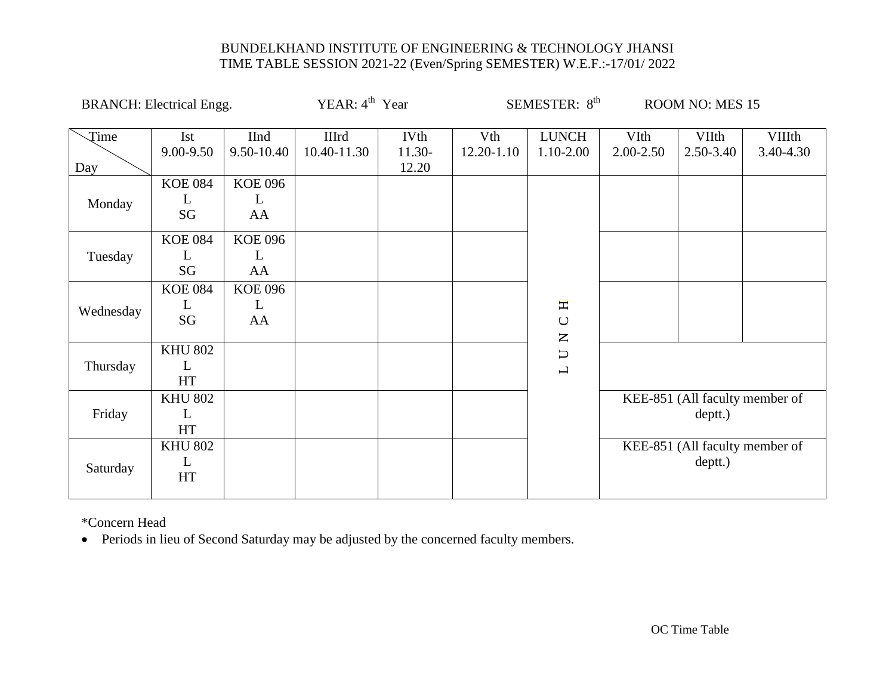| <b>BRANCH:</b> Electrical Engg. |                           |                           | YEAR: $4th$ Year     |                           |                   | SEMESTER: 8 <sup>th</sup>                                      |                       | <b>ROOM NO: MES 15</b>                    |                            |
|---------------------------------|---------------------------|---------------------------|----------------------|---------------------------|-------------------|----------------------------------------------------------------|-----------------------|-------------------------------------------|----------------------------|
| Time<br>Day                     | Ist<br>9.00-9.50          | <b>IInd</b><br>9.50-10.40 | IIIrd<br>10.40-11.30 | IVth<br>$11.30-$<br>12.20 | Vth<br>12.20-1.10 | <b>LUNCH</b><br>1.10-2.00                                      | VIth<br>$2.00 - 2.50$ | VIIth<br>2.50-3.40                        | <b>VIIIth</b><br>3.40-4.30 |
| Monday                          | <b>KOE 084</b><br>L<br>SG | <b>KOE 096</b><br>L<br>AA |                      |                           |                   |                                                                |                       |                                           |                            |
| Tuesday                         | <b>KOE 084</b><br>L<br>SG | <b>KOE 096</b><br>L<br>AA |                      |                           |                   |                                                                |                       |                                           |                            |
| Wednesday                       | <b>KOE 084</b><br>L<br>SG | <b>KOE 096</b><br>L<br>AA |                      |                           |                   | H<br>$\bigcup$<br>$\mathsf{Z}% _{0}\!\left( \mathsf{Z}\right)$ |                       |                                           |                            |
| Thursday                        | <b>KHU 802</b><br>L<br>HT |                           |                      |                           |                   | $\Box$<br>$\overline{\phantom{0}}$                             |                       |                                           |                            |
| Friday                          | <b>KHU 802</b><br>L<br>HT |                           |                      |                           |                   |                                                                |                       | KEE-851 (All faculty member of<br>deptt.) |                            |
| Saturday                        | <b>KHU 802</b><br>L<br>HT |                           |                      |                           |                   |                                                                |                       | KEE-851 (All faculty member of<br>deptt.) |                            |

\*Concern Head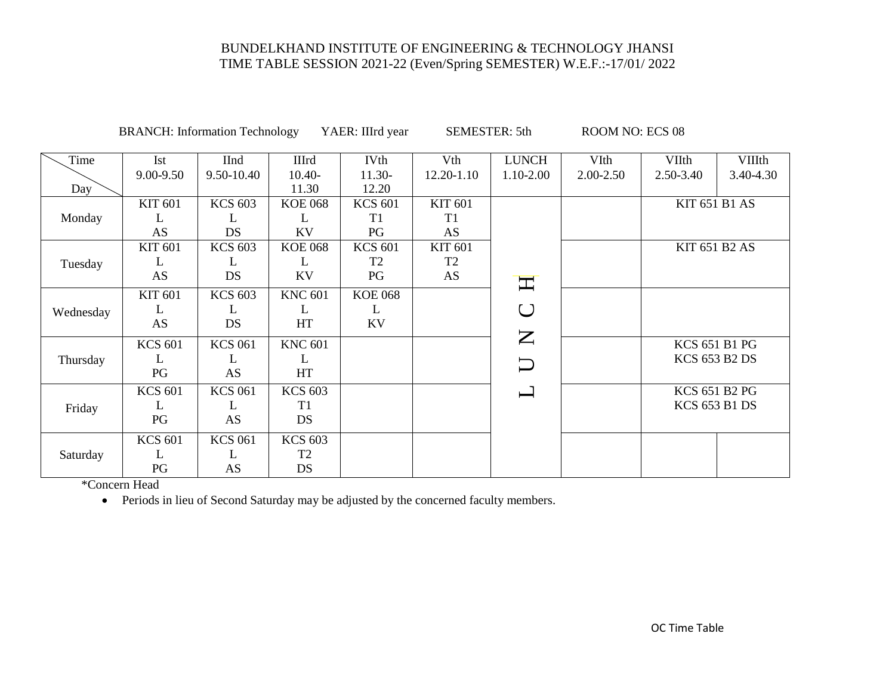BRANCH: Information Technology YAER: IIIrd year SEMESTER: 5th ROOM NO: ECS 08

| Time      | Ist            | <b>IInd</b>    | <b>IIIrd</b>   | <b>IVth</b>    | Vth            | <b>LUNCH</b>                                                                                  | VIth      | <b>VIIth</b>         | <b>VIIIth</b> |
|-----------|----------------|----------------|----------------|----------------|----------------|-----------------------------------------------------------------------------------------------|-----------|----------------------|---------------|
|           | 9.00-9.50      | 9.50-10.40     | $10.40-$       | $11.30-$       | 12.20-1.10     | 1.10-2.00                                                                                     | 2.00-2.50 | 2.50-3.40            | 3.40-4.30     |
| Day       |                |                | 11.30          | 12.20          |                |                                                                                               |           |                      |               |
|           | <b>KIT 601</b> | <b>KCS 603</b> | <b>KOE 068</b> | <b>KCS 601</b> | <b>KIT 601</b> |                                                                                               |           | <b>KIT 651 B1 AS</b> |               |
| Monday    | L              | L              | L              | T1             | T1             |                                                                                               |           |                      |               |
|           | <b>AS</b>      | <b>DS</b>      | <b>KV</b>      | PG             | AS             |                                                                                               |           |                      |               |
|           | <b>KIT 601</b> | <b>KCS 603</b> | <b>KOE 068</b> | <b>KCS 601</b> | <b>KIT 601</b> |                                                                                               |           | <b>KIT 651 B2 AS</b> |               |
| Tuesday   | L              | L              | L              | T <sub>2</sub> | T <sub>2</sub> |                                                                                               |           |                      |               |
|           | AS             | <b>DS</b>      | <b>KV</b>      | PG             | AS             | $\mathbf{\Pi}$                                                                                |           |                      |               |
|           | <b>KIT 601</b> | <b>KCS 603</b> | <b>KNC 601</b> | <b>KOE 068</b> |                |                                                                                               |           |                      |               |
| Wednesday | L              | L              | L              | L              |                | U                                                                                             |           |                      |               |
|           | AS             | DS             | HT             | KV             |                |                                                                                               |           |                      |               |
|           | <b>KCS 601</b> | <b>KCS 061</b> | <b>KNC 601</b> |                |                | $\mathsf{Z}% _{0}\!\left( \mathcal{M}\right) \equiv\mathsf{Z}_{0}\!\left( \mathcal{M}\right)$ |           | <b>KCS 651 B1 PG</b> |               |
| Thursday  | L              | L              | L              |                |                | $\Box$                                                                                        |           | <b>KCS 653 B2 DS</b> |               |
|           | PG             | AS             | HT             |                |                |                                                                                               |           |                      |               |
|           | <b>KCS 601</b> | <b>KCS 061</b> | <b>KCS 603</b> |                |                |                                                                                               |           | <b>KCS 651 B2 PG</b> |               |
| Friday    | L              | L              | T <sub>1</sub> |                |                |                                                                                               |           | <b>KCS 653 B1 DS</b> |               |
|           | PG             | AS             | DS             |                |                |                                                                                               |           |                      |               |
|           | <b>KCS 601</b> | <b>KCS 061</b> | <b>KCS 603</b> |                |                |                                                                                               |           |                      |               |
| Saturday  | L              | L              | T <sub>2</sub> |                |                |                                                                                               |           |                      |               |
|           | PG             | AS             | <b>DS</b>      |                |                |                                                                                               |           |                      |               |

\*Concern Head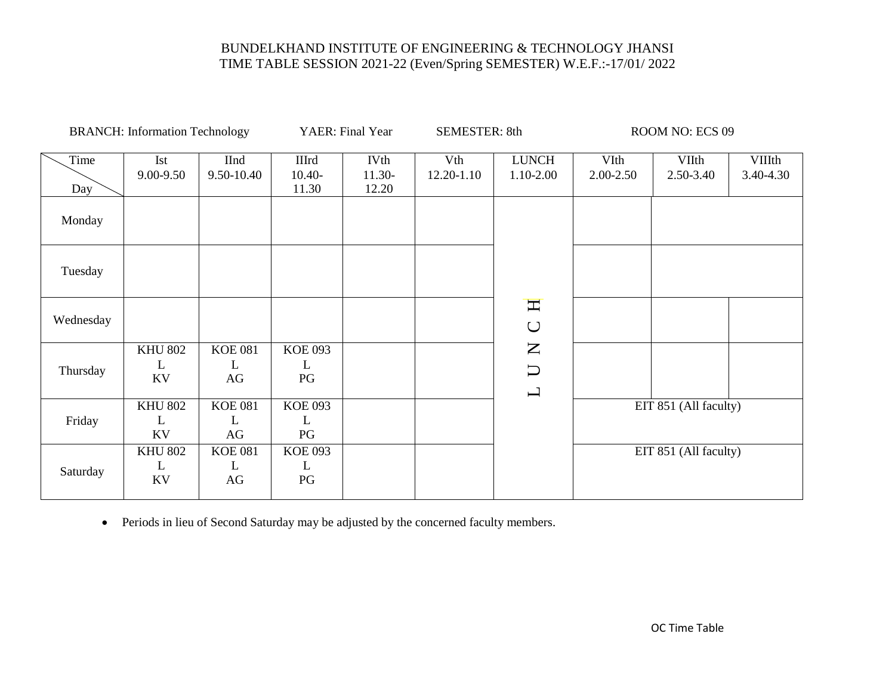|             | <b>BRANCH:</b> Information Technology |                           |                                   | YAER: Final Year                 | <b>SEMESTER: 8th</b> |                                                   |                   | ROOM NO: ECS 09       |                            |
|-------------|---------------------------------------|---------------------------|-----------------------------------|----------------------------------|----------------------|---------------------------------------------------|-------------------|-----------------------|----------------------------|
| Time<br>Day | Ist<br>9.00-9.50                      | <b>IInd</b><br>9.50-10.40 | <b>IIIrd</b><br>$10.40-$<br>11.30 | <b>IVth</b><br>$11.30-$<br>12.20 | Vth<br>12.20-1.10    | <b>LUNCH</b><br>1.10-2.00                         | VIth<br>2.00-2.50 | VIIth<br>2.50-3.40    | <b>VIIIth</b><br>3.40-4.30 |
| Monday      |                                       |                           |                                   |                                  |                      |                                                   |                   |                       |                            |
| Tuesday     |                                       |                           |                                   |                                  |                      |                                                   |                   |                       |                            |
| Wednesday   |                                       |                           |                                   |                                  |                      | Η<br>$\cup$                                       |                   |                       |                            |
| Thursday    | <b>KHU 802</b><br>L<br>KV             | <b>KOE 081</b><br>L<br>AG | <b>KOE 093</b><br>L<br>PG         |                                  |                      | $\mathsf{Z}$<br>$\cup$<br>$\mathbf{\overline{L}}$ |                   |                       |                            |
| Friday      | <b>KHU 802</b><br>L<br>KV             | <b>KOE 081</b><br>L<br>AG | <b>KOE 093</b><br>L<br>PG         |                                  |                      |                                                   |                   | EIT 851 (All faculty) |                            |
| Saturday    | <b>KHU 802</b><br>L<br>KV             | <b>KOE 081</b><br>L<br>AG | <b>KOE 093</b><br>L<br>PG         |                                  |                      |                                                   |                   | EIT 851 (All faculty) |                            |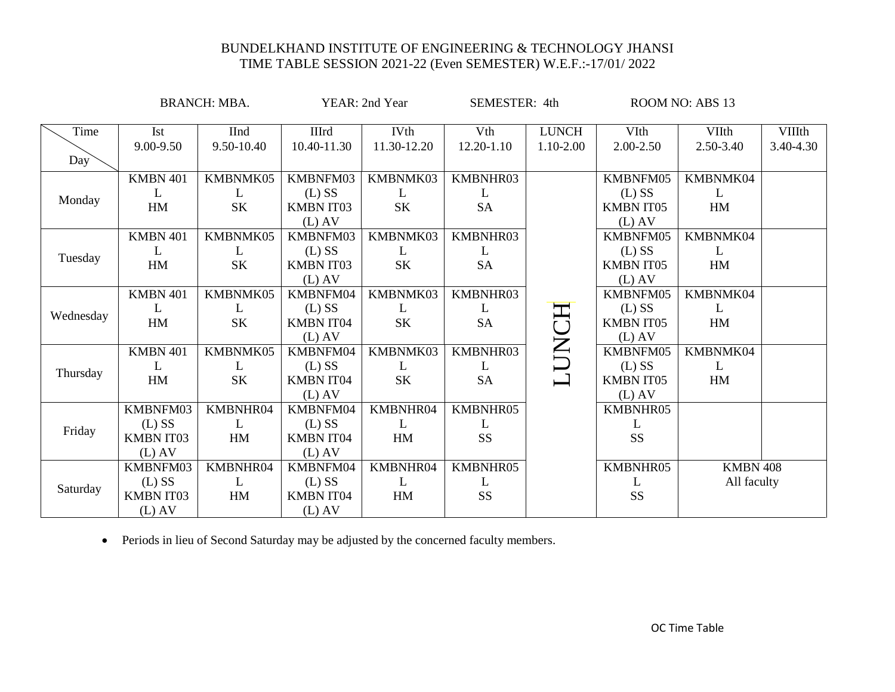|             |                                                      | <b>BRANCH: MBA.</b>        |                                                      | YEAR: 2nd Year             | SEMESTER: 4th              |                           |                                                      | ROOM NO: ABS 13                |                            |
|-------------|------------------------------------------------------|----------------------------|------------------------------------------------------|----------------------------|----------------------------|---------------------------|------------------------------------------------------|--------------------------------|----------------------------|
| Time<br>Day | Ist<br>9.00-9.50                                     | <b>IInd</b><br>9.50-10.40  | <b>IIIrd</b><br>10.40-11.30                          | <b>IVth</b><br>11.30-12.20 | Vth<br>12.20-1.10          | <b>LUNCH</b><br>1.10-2.00 | VIth<br>2.00-2.50                                    | VIIth<br>2.50-3.40             | <b>VIIIth</b><br>3.40-4.30 |
| Monday      | KMBN 401<br>L<br>HM                                  | KMBNMK05<br>L<br><b>SK</b> | KMBNFM03<br>$(L)$ SS<br><b>KMBN IT03</b><br>$(L)$ AV | KMBNMK03<br>L<br><b>SK</b> | KMBNHR03<br>L<br><b>SA</b> |                           | KMBNFM05<br>$(L)$ SS<br><b>KMBN IT05</b><br>$(L)$ AV | KMBNMK04<br>L<br>HM            |                            |
| Tuesday     | KMBN 401<br>L<br>HM                                  | KMBNMK05<br>L<br><b>SK</b> | KMBNFM03<br>$(L)$ SS<br><b>KMBN IT03</b><br>$(L)$ AV | KMBNMK03<br>L<br><b>SK</b> | KMBNHR03<br>L<br><b>SA</b> |                           | KMBNFM05<br>$(L)$ SS<br><b>KMBN IT05</b><br>$(L)$ AV | KMBNMK04<br>L<br>HM            |                            |
| Wednesday   | KMBN 401<br>L<br>HM                                  | KMBNMK05<br>L<br><b>SK</b> | KMBNFM04<br>$(L)$ SS<br><b>KMBN IT04</b><br>$(L)$ AV | KMBNMK03<br>L<br><b>SK</b> | KMBNHR03<br>L<br><b>SA</b> | HO                        | KMBNFM05<br>$(L)$ SS<br><b>KMBN IT05</b><br>$(L)$ AV | KMBNMK04<br>L<br>HM            |                            |
| Thursday    | <b>KMBN 401</b><br>L<br>HM                           | KMBNMK05<br>L<br><b>SK</b> | KMBNFM04<br>$(L)$ SS<br><b>KMBN IT04</b><br>$(L)$ AV | KMBNMK03<br>L<br>SK        | KMBNHR03<br>L<br><b>SA</b> | Ĕ                         | KMBNFM05<br>$(L)$ SS<br><b>KMBN IT05</b><br>$(L)$ AV | KMBNMK04<br>L<br>HM            |                            |
| Friday      | KMBNFM03<br>$(L)$ SS<br><b>KMBN IT03</b><br>$(L)$ AV | KMBNHR04<br>L<br>HM        | KMBNFM04<br>$(L)$ SS<br><b>KMBN IT04</b><br>$(L)$ AV | KMBNHR04<br>L<br>HM        | KMBNHR05<br>L<br><b>SS</b> |                           | KMBNHR05<br>L<br><b>SS</b>                           |                                |                            |
| Saturday    | KMBNFM03<br>$(L)$ SS<br><b>KMBN IT03</b><br>$(L)$ AV | KMBNHR04<br>L<br>HM        | KMBNFM04<br>$(L)$ SS<br><b>KMBN IT04</b><br>$(L)$ AV | KMBNHR04<br>L<br>HM        | KMBNHR05<br>L<br>SS        |                           | KMBNHR05<br>L<br>SS                                  | <b>KMBN 408</b><br>All faculty |                            |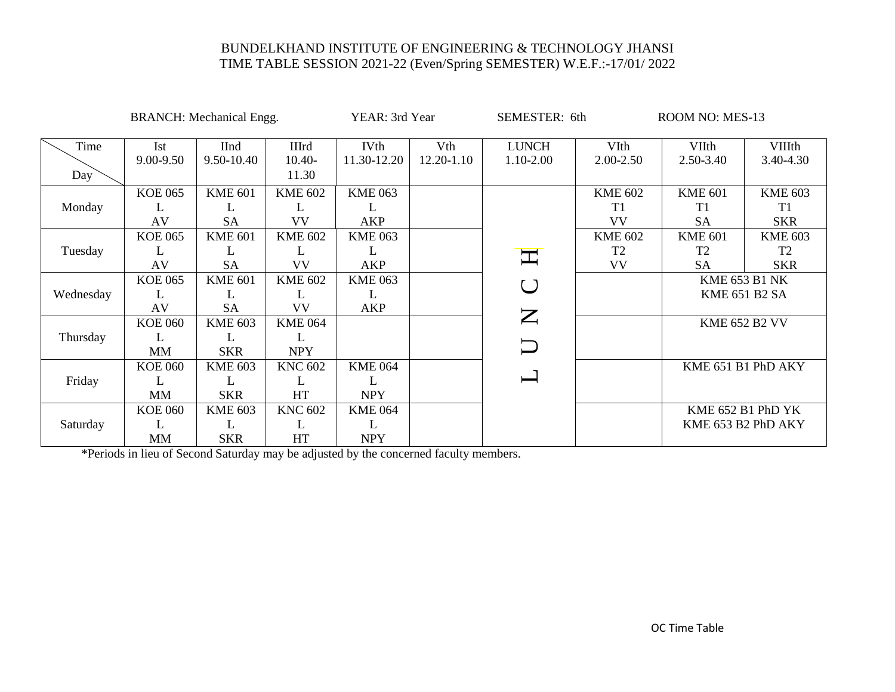|           |                | <b>BRANCH:</b> Mechanical Engg. |                | YEAR: 3rd Year |            | SEMESTER: 6th                                                                            |                | ROOM NO: MES-13      |                      |  |
|-----------|----------------|---------------------------------|----------------|----------------|------------|------------------------------------------------------------------------------------------|----------------|----------------------|----------------------|--|
| Time      | <b>Ist</b>     | <b>IInd</b>                     | <b>IIIrd</b>   | <b>IVth</b>    | Vth        | <b>LUNCH</b>                                                                             | VIth           | <b>VIIth</b>         | <b>VIIIth</b>        |  |
|           | 9.00-9.50      | 9.50-10.40                      | $10.40-$       | 11.30-12.20    | 12.20-1.10 | 1.10-2.00                                                                                | 2.00-2.50      | 2.50-3.40            | 3.40-4.30            |  |
| Day       |                |                                 | 11.30          |                |            |                                                                                          |                |                      |                      |  |
|           | <b>KOE 065</b> | <b>KME 601</b>                  | <b>KME 602</b> | <b>KME 063</b> |            |                                                                                          | <b>KME 602</b> | <b>KME 601</b>       | <b>KME 603</b>       |  |
| Monday    |                | L                               | L              | L              |            |                                                                                          | T1             | T1                   | T <sub>1</sub>       |  |
| Tuesday   | AV             | <b>SA</b>                       | <b>VV</b>      | AKP            |            |                                                                                          | <b>VV</b>      | <b>SA</b>            | <b>SKR</b>           |  |
|           | <b>KOE 065</b> | <b>KME 601</b>                  | <b>KME 602</b> | <b>KME 063</b> |            |                                                                                          | <b>KME 602</b> | <b>KME 601</b>       | <b>KME 603</b>       |  |
|           |                | L                               | L              | L              |            | $\mathbf{\Pi}$                                                                           | T <sub>2</sub> | T <sub>2</sub>       | T <sub>2</sub>       |  |
|           | AV             | <b>SA</b>                       | <b>VV</b>      | <b>AKP</b>     |            |                                                                                          | <b>VV</b>      | <b>SA</b>            | <b>SKR</b>           |  |
|           | <b>KOE 065</b> | <b>KME 601</b>                  | <b>KME 602</b> | <b>KME 063</b> |            | $\bigcup$                                                                                |                |                      | <b>KME 653 B1 NK</b> |  |
| Wednesday | L              |                                 | L              | L              |            |                                                                                          |                | <b>KME 651 B2 SA</b> |                      |  |
|           | AV             | <b>SA</b>                       | <b>VV</b>      | <b>AKP</b>     |            | $\mathsf{Z}% _{0}\!\left( \mathcal{M}\right) \equiv\mathcal{M}\left( \mathcal{M}\right)$ |                |                      |                      |  |
| Thursday  | <b>KOE 060</b> | <b>KME 603</b>                  | <b>KME 064</b> |                |            |                                                                                          |                | <b>KME 652 B2 VV</b> |                      |  |
|           |                |                                 |                |                |            |                                                                                          |                |                      |                      |  |
|           | <b>MM</b>      | <b>SKR</b>                      | <b>NPY</b>     |                |            | $\Box$                                                                                   |                |                      |                      |  |
| Friday    | <b>KOE 060</b> | <b>KME 603</b>                  | <b>KNC 602</b> | <b>KME 064</b> |            |                                                                                          |                | KME 651 B1 PhD AKY   |                      |  |
|           |                | L                               | L              |                |            | $\overline{}$                                                                            |                |                      |                      |  |
|           | <b>MM</b>      | <b>SKR</b>                      | <b>HT</b>      | <b>NPY</b>     |            |                                                                                          |                |                      |                      |  |
| Saturday  | <b>KOE 060</b> | <b>KME 603</b>                  | <b>KNC 602</b> | <b>KME 064</b> |            |                                                                                          |                |                      | KME 652 B1 PhD YK    |  |
|           |                | L                               | L              | L              |            |                                                                                          |                | KME 653 B2 PhD AKY   |                      |  |
|           | MM             | <b>SKR</b>                      | HT             | <b>NPY</b>     |            |                                                                                          |                |                      |                      |  |